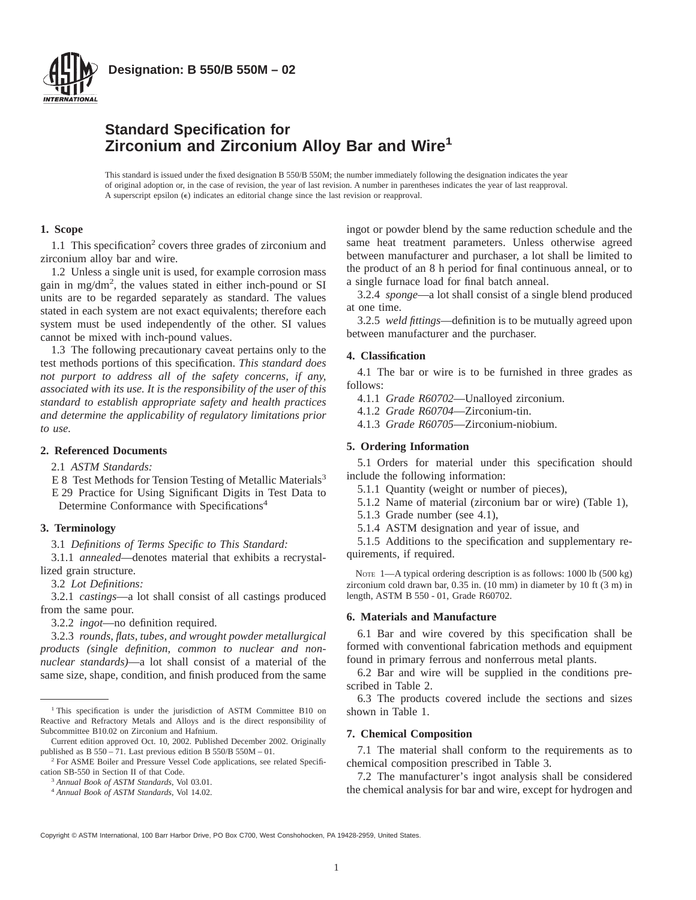

**Designation: B 550/B 550M – 02**

## **Standard Specification for Zirconium and Zirconium Alloy Bar and Wire<sup>1</sup>**

This standard is issued under the fixed designation B 550/B 550M; the number immediately following the designation indicates the year of original adoption or, in the case of revision, the year of last revision. A number in parentheses indicates the year of last reapproval. A superscript epsilon  $(\epsilon)$  indicates an editorial change since the last revision or reapproval.

## **1. Scope**

1.1 This specification<sup>2</sup> covers three grades of zirconium and zirconium alloy bar and wire.

1.2 Unless a single unit is used, for example corrosion mass gain in mg/dm2 , the values stated in either inch-pound or SI units are to be regarded separately as standard. The values stated in each system are not exact equivalents; therefore each system must be used independently of the other. SI values cannot be mixed with inch-pound values.

1.3 The following precautionary caveat pertains only to the test methods portions of this specification. *This standard does not purport to address all of the safety concerns, if any, associated with its use. It is the responsibility of the user of this standard to establish appropriate safety and health practices and determine the applicability of regulatory limitations prior to use.*

#### **2. Referenced Documents**

2.1 *ASTM Standards:*

- E 8 Test Methods for Tension Testing of Metallic Materials<sup>3</sup> E 29 Practice for Using Significant Digits in Test Data to
	- Determine Conformance with Specifications<sup>4</sup>

#### **3. Terminology**

3.1 *Definitions of Terms Specific to This Standard:*

3.1.1 *annealed*—denotes material that exhibits a recrystallized grain structure.

3.2 *Lot Definitions:*

3.2.1 *castings*—a lot shall consist of all castings produced from the same pour.

3.2.2 *ingot*—no definition required.

3.2.3 *rounds, flats, tubes, and wrought powder metallurgical products (single definition, common to nuclear and nonnuclear standards)*—a lot shall consist of a material of the same size, shape, condition, and finish produced from the same

<sup>2</sup> For ASME Boiler and Pressure Vessel Code applications, see related Specification SB-550 in Section II of that Code.

<sup>3</sup> *Annual Book of ASTM Standards*, Vol 03.01.

ingot or powder blend by the same reduction schedule and the same heat treatment parameters. Unless otherwise agreed between manufacturer and purchaser, a lot shall be limited to the product of an 8 h period for final continuous anneal, or to a single furnace load for final batch anneal.

3.2.4 *sponge*—a lot shall consist of a single blend produced at one time.

3.2.5 *weld fittings*—definition is to be mutually agreed upon between manufacturer and the purchaser.

#### **4. Classification**

4.1 The bar or wire is to be furnished in three grades as follows:

- 4.1.1 *Grade R60702*—Unalloyed zirconium.
- 4.1.2 *Grade R60704*—Zirconium-tin.
	- 4.1.3 *Grade R60705*—Zirconium-niobium.

#### **5. Ordering Information**

5.1 Orders for material under this specification should include the following information:

- 5.1.1 Quantity (weight or number of pieces),
- 5.1.2 Name of material (zirconium bar or wire) (Table 1),
- 5.1.3 Grade number (see 4.1),
- 5.1.4 ASTM designation and year of issue, and

5.1.5 Additions to the specification and supplementary requirements, if required.

NOTE 1-A typical ordering description is as follows: 1000 lb (500 kg) zirconium cold drawn bar, 0.35 in. (10 mm) in diameter by 10 ft (3 m) in length, ASTM B 550 - 01, Grade R60702.

#### **6. Materials and Manufacture**

6.1 Bar and wire covered by this specification shall be formed with conventional fabrication methods and equipment found in primary ferrous and nonferrous metal plants.

6.2 Bar and wire will be supplied in the conditions prescribed in Table 2.

6.3 The products covered include the sections and sizes shown in Table 1.

#### **7. Chemical Composition**

7.1 The material shall conform to the requirements as to chemical composition prescribed in Table 3.

7.2 The manufacturer's ingot analysis shall be considered the chemical analysis for bar and wire, except for hydrogen and

<sup>&</sup>lt;sup>1</sup> This specification is under the jurisdiction of ASTM Committee B10 on Reactive and Refractory Metals and Alloys and is the direct responsibility of Subcommittee B10.02 on Zirconium and Hafnium.

Current edition approved Oct. 10, 2002. Published December 2002. Originally published as B 550 – 71. Last previous edition B 550/B 550M – 01.

<sup>4</sup> *Annual Book of ASTM Standards*, Vol 14.02.

Copyright © ASTM International, 100 Barr Harbor Drive, PO Box C700, West Conshohocken, PA 19428-2959, United States.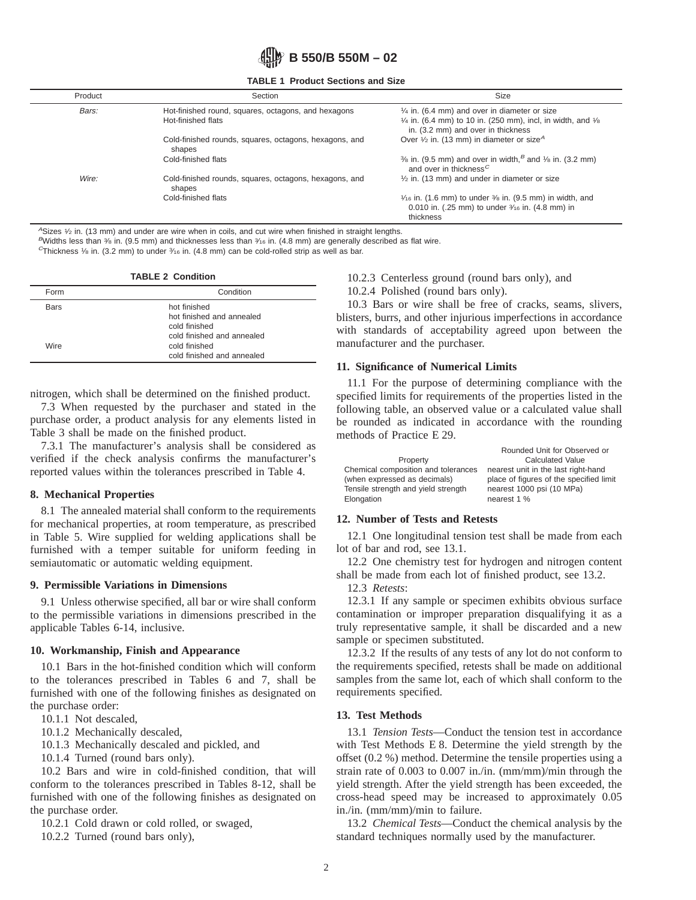

**TABLE 1 Product Sections and Size**

| Product | Section                                                                   | Size                                                                                                                                                                              |
|---------|---------------------------------------------------------------------------|-----------------------------------------------------------------------------------------------------------------------------------------------------------------------------------|
| Bars:   | Hot-finished round, squares, octagons, and hexagons<br>Hot-finished flats | $\frac{1}{4}$ in. (6.4 mm) and over in diameter or size<br>$\frac{1}{4}$ in. (6.4 mm) to 10 in. (250 mm), incl, in width, and $\frac{1}{8}$<br>in. (3.2 mm) and over in thickness |
|         | Cold-finished rounds, squares, octagons, hexagons, and<br>shapes          | Over $\frac{1}{2}$ in. (13 mm) in diameter or size <sup>A</sup>                                                                                                                   |
|         | Cold-finished flats                                                       | $\frac{3}{6}$ in. (9.5 mm) and over in width, $\frac{3}{6}$ and $\frac{1}{6}$ in. (3.2 mm)<br>and over in thickness <sup><math>C</math></sup>                                     |
| Wire:   | Cold-finished rounds, squares, octagons, hexagons, and<br>shapes          | $1/2$ in. (13 mm) and under in diameter or size                                                                                                                                   |
|         | Cold-finished flats                                                       | $\frac{1}{16}$ in. (1.6 mm) to under $\frac{3}{6}$ in. (9.5 mm) in width, and<br>0.010 in. (.25 mm) to under 3/16 in. (4.8 mm) in<br>thickness                                    |

 $A$ Sizes  $\frac{1}{2}$  in. (13 mm) and under are wire when in coils, and cut wire when finished in straight lengths.

BWidths less than  $\frac{3}{6}$  in. (9.5 mm) and thicknesses less than  $\frac{3}{6}$  in. (4.8 mm) are generally described as flat wire.

<sup>C</sup>Thickness 1/8 in. (3.2 mm) to under  $\frac{3}{16}$  in. (4.8 mm) can be cold-rolled strip as well as bar.

| <b>TABLE 2 Condition</b> |                                                                                          |  |  |
|--------------------------|------------------------------------------------------------------------------------------|--|--|
| Form                     | Condition                                                                                |  |  |
| Bars                     | hot finished<br>hot finished and annealed<br>cold finished<br>cold finished and annealed |  |  |
| Wire                     | cold finished<br>cold finished and annealed                                              |  |  |

nitrogen, which shall be determined on the finished product.

7.3 When requested by the purchaser and stated in the purchase order, a product analysis for any elements listed in Table 3 shall be made on the finished product.

7.3.1 The manufacturer's analysis shall be considered as verified if the check analysis confirms the manufacturer's reported values within the tolerances prescribed in Table 4.

### **8. Mechanical Properties**

8.1 The annealed material shall conform to the requirements for mechanical properties, at room temperature, as prescribed in Table 5. Wire supplied for welding applications shall be furnished with a temper suitable for uniform feeding in semiautomatic or automatic welding equipment.

#### **9. Permissible Variations in Dimensions**

9.1 Unless otherwise specified, all bar or wire shall conform to the permissible variations in dimensions prescribed in the applicable Tables 6-14, inclusive.

#### **10. Workmanship, Finish and Appearance**

10.1 Bars in the hot-finished condition which will conform to the tolerances prescribed in Tables 6 and 7, shall be furnished with one of the following finishes as designated on the purchase order:

10.1.1 Not descaled,

10.1.2 Mechanically descaled,

10.1.3 Mechanically descaled and pickled, and

10.1.4 Turned (round bars only).

10.2 Bars and wire in cold-finished condition, that will conform to the tolerances prescribed in Tables 8-12, shall be furnished with one of the following finishes as designated on the purchase order.

10.2.1 Cold drawn or cold rolled, or swaged,

10.2.2 Turned (round bars only),

10.2.3 Centerless ground (round bars only), and

10.2.4 Polished (round bars only).

10.3 Bars or wire shall be free of cracks, seams, slivers, blisters, burrs, and other injurious imperfections in accordance with standards of acceptability agreed upon between the manufacturer and the purchaser.

## **11. Significance of Numerical Limits**

11.1 For the purpose of determining compliance with the specified limits for requirements of the properties listed in the following table, an observed value or a calculated value shall be rounded as indicated in accordance with the rounding methods of Practice E 29.

|                                     | Rounded Unit for Observed or            |
|-------------------------------------|-----------------------------------------|
| Property                            | <b>Calculated Value</b>                 |
| Chemical composition and tolerances | nearest unit in the last right-hand     |
| (when expressed as decimals)        | place of figures of the specified limit |
| Tensile strength and yield strength | nearest 1000 psi (10 MPa)               |
| Elongation                          | nearest 1 %                             |

## **12. Number of Tests and Retests**

12.1 One longitudinal tension test shall be made from each lot of bar and rod, see 13.1.

12.2 One chemistry test for hydrogen and nitrogen content shall be made from each lot of finished product, see 13.2.

12.3 *Retests*:

12.3.1 If any sample or specimen exhibits obvious surface contamination or improper preparation disqualifying it as a truly representative sample, it shall be discarded and a new sample or specimen substituted.

12.3.2 If the results of any tests of any lot do not conform to the requirements specified, retests shall be made on additional samples from the same lot, each of which shall conform to the requirements specified.

## **13. Test Methods**

13.1 *Tension Tests*—Conduct the tension test in accordance with Test Methods E 8. Determine the yield strength by the offset (0.2 %) method. Determine the tensile properties using a strain rate of 0.003 to 0.007 in./in. (mm/mm)/min through the yield strength. After the yield strength has been exceeded, the cross-head speed may be increased to approximately 0.05 in./in. (mm/mm)/min to failure.

13.2 *Chemical Tests*—Conduct the chemical analysis by the standard techniques normally used by the manufacturer.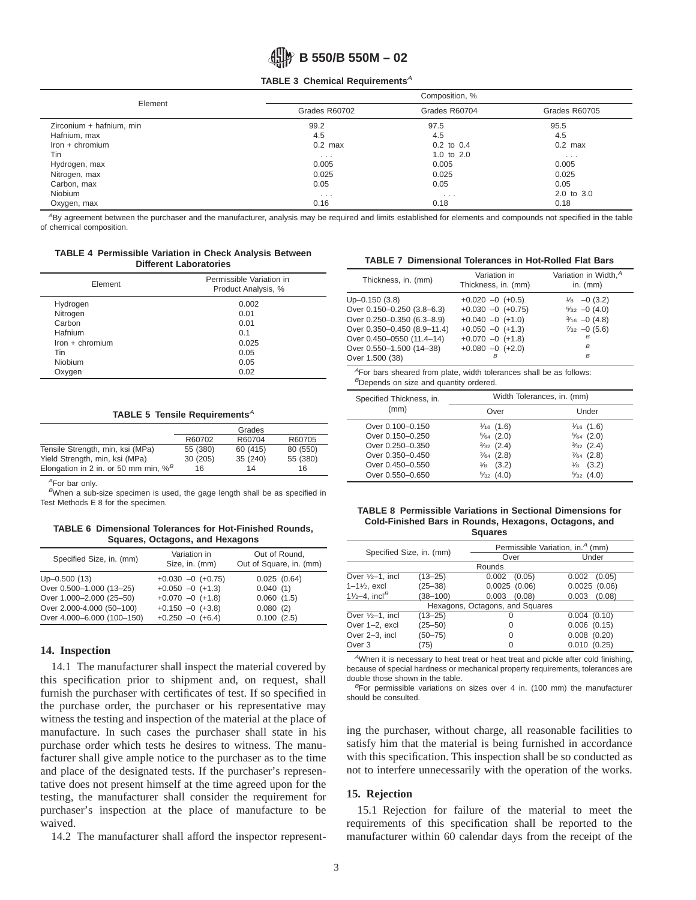#### **TABLE 3 Chemical Requirements<sup>A</sup>**

| Element                  | Composition, % |                |               |  |
|--------------------------|----------------|----------------|---------------|--|
|                          | Grades R60702  | Grades R60704  | Grades R60705 |  |
| Zirconium + hafnium, min | 99.2           | 97.5           | 95.5          |  |
| Hafnium, max             | 4.5            | 4.5            | 4.5           |  |
| $lron + chromium$        | $0.2$ max      | $0.2$ to $0.4$ | $0.2$ max     |  |
| Tin                      | $\cdots$       | 1.0 to $2.0$   | $\cdots$      |  |
| Hydrogen, max            | 0.005          | 0.005          | 0.005         |  |
| Nitrogen, max            | 0.025          | 0.025          | 0.025         |  |
| Carbon, max              | 0.05           | 0.05           | 0.05          |  |
| Niobium                  | $\cdots$       | $\cdots$       | 2.0 to 3.0    |  |
| Oxygen, max              | 0.16           | 0.18           | 0.18          |  |

ABy agreement between the purchaser and the manufacturer, analysis may be required and limits established for elements and compounds not specified in the table of chemical composition.

#### **TABLE 4 Permissible Variation in Check Analysis Between Different Laboratories**

| Element           | Permissible Variation in<br>Product Analysis, % |  |  |
|-------------------|-------------------------------------------------|--|--|
| Hydrogen          | 0.002                                           |  |  |
| Nitrogen          | 0.01                                            |  |  |
| Carbon            | 0.01                                            |  |  |
| Hafnium           | 0.1                                             |  |  |
| $lron + chromium$ | 0.025                                           |  |  |
| Tin               | 0.05                                            |  |  |
| Niobium           | 0.05                                            |  |  |
| Oxygen            | 0.02                                            |  |  |

#### **TABLE 5 Tensile Requirements<sup>A</sup>**

|                                                     |          | Grades   |          |
|-----------------------------------------------------|----------|----------|----------|
|                                                     | R60702   | R60704   | R60705   |
| Tensile Strength, min, ksi (MPa)                    | 55 (380) | 60 (415) | 80 (550) |
| Yield Strength, min, ksi (MPa)                      | 30(205)  | 35(240)  | 55 (380) |
| Elongation in 2 in. or 50 mm min, $\%$ <sup>B</sup> | 16       | 14       | 16       |

<sup>A</sup>For bar only.

BWhen a sub-size specimen is used, the gage length shall be as specified in Test Methods E 8 for the specimen.

**TABLE 6 Dimensional Tolerances for Hot-Finished Rounds, Squares, Octagons, and Hexagons**

| Specified Size, in. (mm)   | Variation in<br>Size, in. (mm) | Out of Round,<br>Out of Square, in. (mm) |
|----------------------------|--------------------------------|------------------------------------------|
| $Up-0.500(13)$             | $+0.030 -0 (+0.75)$            | 0.025(0.64)                              |
| Over 0.500-1.000 (13-25)   | $+0.050 -0 (+1.3)$             | 0.040(1)                                 |
| Over 1.000-2.000 (25-50)   | $+0.070 -0 (+1.8)$             | 0.060(1.5)                               |
| Over 2.000-4.000 (50-100)  | $+0.150 -0 (+3.8)$             | 0.080(2)                                 |
| Over 4.000-6.000 (100-150) | $+0.250 -0 (+6.4)$             | 0.100(2.5)                               |

#### **14. Inspection**

14.1 The manufacturer shall inspect the material covered by this specification prior to shipment and, on request, shall furnish the purchaser with certificates of test. If so specified in the purchase order, the purchaser or his representative may witness the testing and inspection of the material at the place of manufacture. In such cases the purchaser shall state in his purchase order which tests he desires to witness. The manufacturer shall give ample notice to the purchaser as to the time and place of the designated tests. If the purchaser's representative does not present himself at the time agreed upon for the testing, the manufacturer shall consider the requirement for purchaser's inspection at the place of manufacture to be waived.

14.2 The manufacturer shall afford the inspector represent-

**TABLE 7 Dimensional Tolerances in Hot-Rolled Flat Bars**

| Thickness, in. (mm)         | Variation in<br>Thickness, in. (mm) | Variation in Width, <sup>A</sup><br>in. $(mm)$ |
|-----------------------------|-------------------------------------|------------------------------------------------|
| $Up-0.150(3.8)$             | $+0.020 -0 (+0.5)$                  | $\frac{1}{8}$ -0 (3.2)                         |
| Over 0.150-0.250 (3.8-6.3)  | $+0.030 -0 (+0.75)$                 | $5/32 -0(4.0)$                                 |
| Over 0.250-0.350 (6.3-8.9)  | $+0.040 -0 (+1.0)$                  | $\frac{3}{16}$ -0 (4.8)                        |
| Over 0.350-0.450 (8.9-11.4) | $+0.050 -0 (+1.3)$                  | $\frac{7}{32}$ -0 (5.6)                        |
| Over 0.450-0550 (11.4-14)   | $+0.070 -0 (+1.8)$                  | B                                              |
| Over 0.550-1.500 (14-38)    | $+0.080 -0 (+2.0)$                  | B                                              |
| Over 1.500 (38)             |                                     | $\overline{B}$                                 |

<sup>4</sup> For bars sheared from plate, width tolerances shall be as follows: <sup>B</sup>Depends on size and quantity ordered.

|                                  | Width Tolerances, in. (mm) |                      |  |
|----------------------------------|----------------------------|----------------------|--|
| Specified Thickness, in.<br>(mm) | Over                       | Under                |  |
| Over 0.100-0.150                 | $\frac{1}{16}$ (1.6)       | $\frac{1}{16}$ (1.6) |  |
| Over 0.150-0.250                 | $5/64$ (2.0)               | $5/64$ (2.0)         |  |
| Over 0.250-0.350                 | $3/32$ (2.4)               | $3/32$ (2.4)         |  |
| Over 0.350-0.450                 | $\frac{7}{64}$ (2.8)       | $\frac{7}{64}$ (2.8) |  |
| Over 0.450-0.550                 | (3.2)<br>$\frac{1}{8}$     | $\frac{1}{8}$ (3.2)  |  |
| Over 0.550-0.650                 | $5/32$ (4.0)               | $5/32$ (4.0)         |  |

#### **TABLE 8 Permissible Variations in Sectional Dimensions for Cold-Finished Bars in Rounds, Hexagons, Octagons, and Squares**

| Specified Size, in. (mm)        |              |                 | Permissible Variation, in. <sup>4</sup> (mm) |  |  |
|---------------------------------|--------------|-----------------|----------------------------------------------|--|--|
|                                 |              | Over            | Under                                        |  |  |
|                                 |              | Rounds          |                                              |  |  |
| Over $1/2-1$ , incl             | $(13 - 25)$  | 0.002<br>(0.05) | 0.002<br>(0.05)                              |  |  |
| $1 - 1\frac{1}{2}$ , excl       | $(25 - 38)$  | 0.0025(0.06)    | 0.0025(0.06)                                 |  |  |
| 11/2-4, incl <sup>B</sup>       | $(38 - 100)$ | 0.003<br>(0.08) | 0.003<br>(0.08)                              |  |  |
| Hexagons, Octagons, and Squares |              |                 |                                              |  |  |
| Over $1/2-1$ , incl             | $(13 - 25)$  | O               | 0.004(0.10)                                  |  |  |
| Over 1-2, excl                  | $(25 - 50)$  | 0               | $0.006$ $(0.15)$                             |  |  |
| Over 2-3, incl                  | $(50 - 75)$  | 0               | $0.008$ $(0.20)$                             |  |  |
| Over 3                          | (75)         |                 | 0.010(0.25)                                  |  |  |

<sup>A</sup>When it is necessary to heat treat or heat treat and pickle after cold finishing, because of special hardness or mechanical property requirements, tolerances are double those shown in the table.

 $B$ For permissible variations on sizes over 4 in. (100 mm) the manufacturer should be consulted.

ing the purchaser, without charge, all reasonable facilities to satisfy him that the material is being furnished in accordance with this specification. This inspection shall be so conducted as not to interfere unnecessarily with the operation of the works.

#### **15. Rejection**

15.1 Rejection for failure of the material to meet the requirements of this specification shall be reported to the manufacturer within 60 calendar days from the receipt of the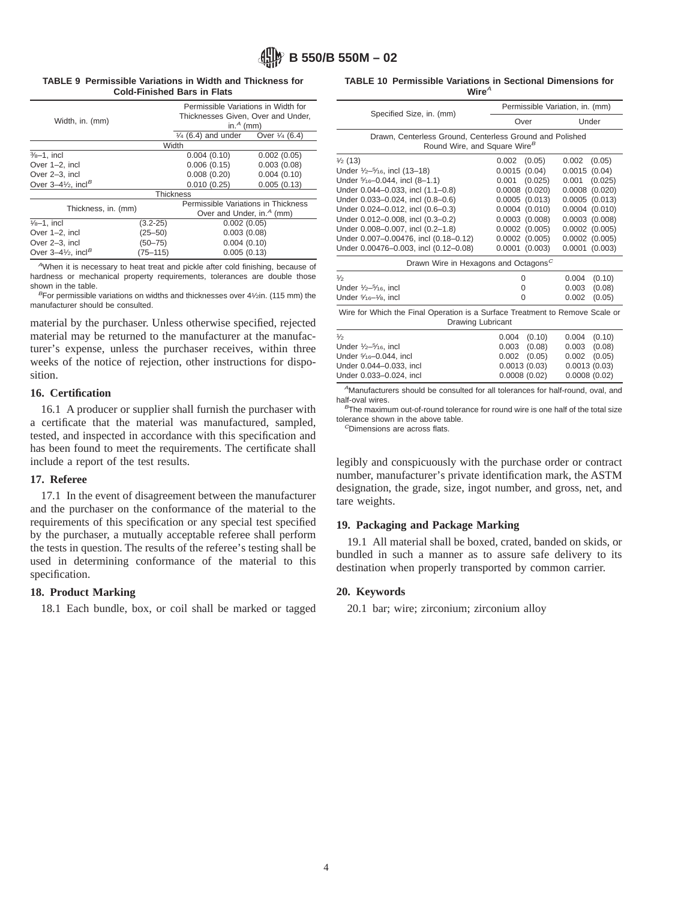# **B 550/B 550M – 02**

#### **TABLE 9 Permissible Variations in Width and Thickness for Cold-Finished Bars in Flats**

|                                                           |              | Permissible Variations in Width for                       |             |  |
|-----------------------------------------------------------|--------------|-----------------------------------------------------------|-------------|--|
| Width, in. (mm)                                           |              | Thicknesses Given, Over and Under,                        |             |  |
|                                                           |              | in. $A$ (mm)                                              |             |  |
|                                                           |              | $\frac{1}{4}$ (6.4) and under<br>Over $\frac{1}{4}$ (6.4) |             |  |
|                                                           |              | Width                                                     |             |  |
| $3/8 - 1$ , incl                                          |              | 0.004(0.10)                                               | 0.002(0.05) |  |
| Over 1-2, incl                                            |              | 0.006(0.15)                                               | 0.003(0.08) |  |
| Over 2-3, incl                                            |              | 0.008(0.20)                                               | 0.004(0.10) |  |
| Over $3-4\frac{1}{2}$ , incl <sup>B</sup>                 |              | 0.010(0.25)                                               | 0.005(0.13) |  |
| <b>Thickness</b>                                          |              |                                                           |             |  |
| Thickness, in. (mm)                                       |              | Permissible Variations in Thickness                       |             |  |
|                                                           |              | Over and Under, in. <sup>4</sup> (mm)                     |             |  |
| $1/8 - 1$ , incl                                          | $(3.2 - 25)$ | 0.002(0.05)                                               |             |  |
| Over 1-2, incl                                            | $(25 - 50)$  | 0.003(0.08)                                               |             |  |
| Over 2-3, incl                                            | $(50 - 75)$  |                                                           | 0.004(0.10) |  |
| Over $3-4\frac{1}{2}$ , incl <sup>B</sup><br>$(75 - 115)$ |              | 0.005(0.13)                                               |             |  |

<sup>A</sup>When it is necessary to heat treat and pickle after cold finishing, because of hardness or mechanical property requirements, tolerances are double those shown in the table.

 $B$ For permissible variations on widths and thicknesses over 4 $1/2$ in. (115 mm) the manufacturer should be consulted.

material by the purchaser. Unless otherwise specified, rejected material may be returned to the manufacturer at the manufacturer's expense, unless the purchaser receives, within three weeks of the notice of rejection, other instructions for disposition.

## **16. Certification**

16.1 A producer or supplier shall furnish the purchaser with a certificate that the material was manufactured, sampled, tested, and inspected in accordance with this specification and has been found to meet the requirements. The certificate shall include a report of the test results.

## **17. Referee**

17.1 In the event of disagreement between the manufacturer and the purchaser on the conformance of the material to the requirements of this specification or any special test specified by the purchaser, a mutually acceptable referee shall perform the tests in question. The results of the referee's testing shall be used in determining conformance of the material to this specification.

## **18. Product Marking**

18.1 Each bundle, box, or coil shall be marked or tagged

|  |           | <b>TABLE 10 Permissible Variations in Sectional Dimensions for</b> |  |
|--|-----------|--------------------------------------------------------------------|--|
|  | Wire $^A$ |                                                                    |  |

|                                                                                                      | Permissible Variation, in. (mm) |                    |              |                    |  |  |
|------------------------------------------------------------------------------------------------------|---------------------------------|--------------------|--------------|--------------------|--|--|
| Specified Size, in. (mm)                                                                             | Over                            |                    | Under        |                    |  |  |
| Drawn, Centerless Ground, Centerless Ground and Polished<br>Round Wire, and Square Wire <sup>B</sup> |                                 |                    |              |                    |  |  |
| $\frac{1}{2}$ (13)                                                                                   | 0.002                           | (0.05)             | 0.002        | (0.05)             |  |  |
| Under $\frac{1}{2} - \frac{5}{16}$ , incl (13-18)                                                    | 0.0015(0.04)                    |                    | 0.0015(0.04) |                    |  |  |
| Under 5/16-0.044, incl (8-1.1)                                                                       | 0.001                           | (0.025)            | 0.001        | (0.025)            |  |  |
| Under 0.044-0.033, incl (1.1-0.8)                                                                    | $0.0008$ $(0.020)$              | $0.0008$ $(0.020)$ |              |                    |  |  |
| Under 0.033-0.024, incl (0.8-0.6)                                                                    | $0.0005$ $(0.013)$              |                    |              | $0.0005$ $(0.013)$ |  |  |
| Under 0.024-0.012, incl (0.6-0.3)                                                                    | $0.0004$ $(0.010)$              |                    |              | $0.0004$ $(0.010)$ |  |  |
| Under 0.012-0.008, incl (0.3-0.2)                                                                    | $0.0003$ $(0.008)$              |                    |              | $0.0003$ $(0.008)$ |  |  |
| Under 0.008-0.007, incl (0.2-1.8)                                                                    | $0.0002$ $(0.005)$              |                    |              | $0.0002$ $(0.005)$ |  |  |
| Under 0.007-0.00476, incl (0.18-0.12)                                                                | $0.0002$ $(0.005)$              |                    |              | $0.0002$ $(0.005)$ |  |  |
| Under 0.00476-0.003, incl (0.12-0.08)                                                                | $0.0001$ $(0.003)$              |                    |              | $0.0001$ $(0.003)$ |  |  |
| Drawn Wire in Hexagons and Octagons <sup>C</sup>                                                     |                                 |                    |              |                    |  |  |
| $\frac{1}{2}$                                                                                        | 0                               |                    | 0.004        | (0.10)             |  |  |
| Under $\frac{1}{2}$ - $\frac{5}{16}$ , incl                                                          | 0                               |                    | 0.003        | (0.08)             |  |  |
| Under 5/16-1/8, incl                                                                                 | 0                               |                    | 0.002        | (0.05)             |  |  |
| Wire for Which the Final Operation is a Surface Treatment to Remove Scale or<br>Drawing Lubricant    |                                 |                    |              |                    |  |  |
| 1/2                                                                                                  | 0.004                           | (0.10)             | 0.004        | (0.10)             |  |  |
| Under 1/2-5/16, incl                                                                                 | 0.003                           | (0.08)             | 0.003        | (0.08)             |  |  |
| $\cdots$ $\cdots$ $\cdots$                                                                           |                                 | (0.000)            |              | (0.000)            |  |  |

| Under 1/2-5/16, incl    | $0.003$ $(0.08)$ | $0.003$ $(0.08)$ |
|-------------------------|------------------|------------------|
| Under 5/16-0.044, incl  | $0.002$ $(0.05)$ | $0.002$ $(0.05)$ |
| Under 0.044-0.033, incl | 0.0013(0.03)     | 0.0013(0.03)     |
| Under 0.033-0.024, incl | 0.0008(0.02)     | 0.0008(0.02)     |
|                         |                  |                  |

<sup>A</sup>Manufacturers should be consulted for all tolerances for half-round, oval, and half-oval wires.

 $B$ The maximum out-of-round tolerance for round wire is one half of the total size tolerance shown in the above table.  $<sup>c</sup>$ Dimensions are across flats.</sup>

legibly and conspicuously with the purchase order or contract number, manufacturer's private identification mark, the ASTM designation, the grade, size, ingot number, and gross, net, and tare weights.

## **19. Packaging and Package Marking**

19.1 All material shall be boxed, crated, banded on skids, or bundled in such a manner as to assure safe delivery to its destination when properly transported by common carrier.

#### **20. Keywords**

20.1 bar; wire; zirconium; zirconium alloy